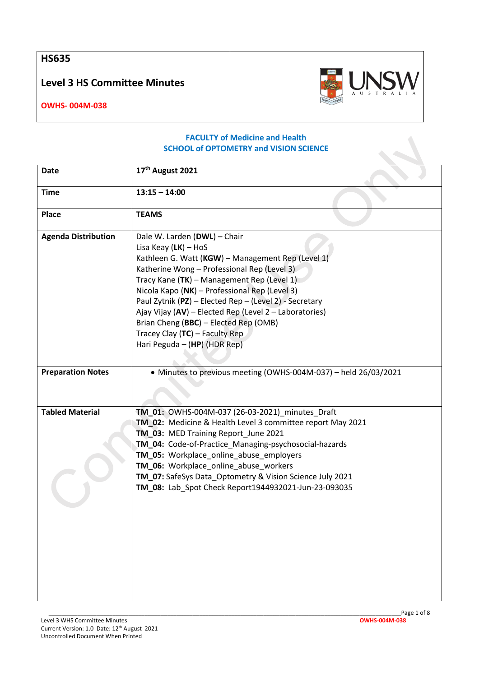**HS635**

**Level 3 HS Committee Minutes**



**OWHS- 004M-038**

## **FACULTY of Medicine and Health SCHOOL of OPTOMETRY and VISION SCIENCE**

| <b>Date</b>                | 17th August 2021                                                                                                                                                                                                                                                                                                                                                                                                                                                                           |
|----------------------------|--------------------------------------------------------------------------------------------------------------------------------------------------------------------------------------------------------------------------------------------------------------------------------------------------------------------------------------------------------------------------------------------------------------------------------------------------------------------------------------------|
| <b>Time</b>                | $13:15 - 14:00$                                                                                                                                                                                                                                                                                                                                                                                                                                                                            |
| <b>Place</b>               | <b>TEAMS</b>                                                                                                                                                                                                                                                                                                                                                                                                                                                                               |
| <b>Agenda Distribution</b> | Dale W. Larden (DWL) - Chair<br>Lisa Keay $(LK)$ – HoS<br>Kathleen G. Watt (KGW) - Management Rep (Level 1)<br>Katherine Wong - Professional Rep (Level 3)<br>Tracy Kane (TK) - Management Rep (Level 1)<br>Nicola Kapo (NK) - Professional Rep (Level 3)<br>Paul Zytnik (PZ) - Elected Rep - (Level 2) - Secretary<br>Ajay Vijay (AV) - Elected Rep (Level 2 - Laboratories)<br>Brian Cheng (BBC) - Elected Rep (OMB)<br>Tracey Clay $(TC)$ – Faculty Rep<br>Hari Peguda - (HP) (HDR Rep) |
| <b>Preparation Notes</b>   | • Minutes to previous meeting (OWHS-004M-037) - held 26/03/2021                                                                                                                                                                                                                                                                                                                                                                                                                            |
| <b>Tabled Material</b>     | TM_01: OWHS-004M-037 (26-03-2021)_minutes_Draft<br>TM_02: Medicine & Health Level 3 committee report May 2021<br>TM_03: MED Training Report_June 2021<br>TM_04: Code-of-Practice_Managing-psychosocial-hazards<br>TM_05: Workplace_online_abuse_employers<br>TM_06: Workplace_online_abuse_workers<br>TM_07: SafeSys Data Optometry & Vision Science July 2021<br>TM_08: Lab_Spot Check Report1944932021-Jun-23-093035                                                                     |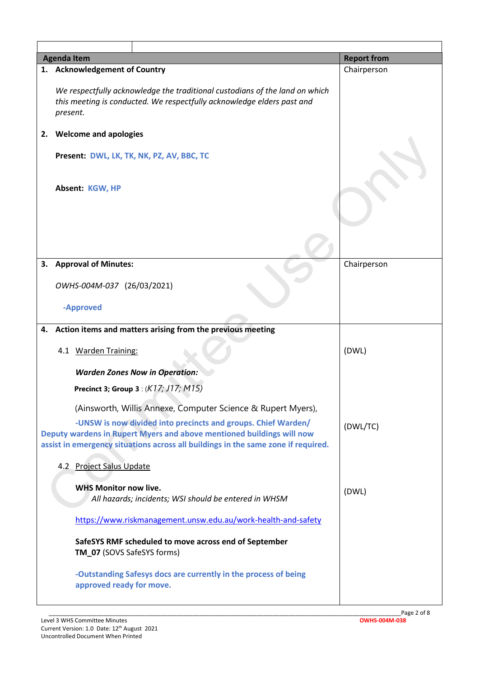| <b>Agenda Item</b>                                                                                                                                                                                                          |                                                                                                                                                                   | <b>Report from</b> |
|-----------------------------------------------------------------------------------------------------------------------------------------------------------------------------------------------------------------------------|-------------------------------------------------------------------------------------------------------------------------------------------------------------------|--------------------|
|                                                                                                                                                                                                                             | 1. Acknowledgement of Country                                                                                                                                     | Chairperson        |
|                                                                                                                                                                                                                             | We respectfully acknowledge the traditional custodians of the land on which<br>this meeting is conducted. We respectfully acknowledge elders past and<br>present. |                    |
| 2.                                                                                                                                                                                                                          | <b>Welcome and apologies</b>                                                                                                                                      |                    |
|                                                                                                                                                                                                                             | Present: DWL, LK, TK, NK, PZ, AV, BBC, TC                                                                                                                         |                    |
|                                                                                                                                                                                                                             | Absent: KGW, HP                                                                                                                                                   |                    |
|                                                                                                                                                                                                                             |                                                                                                                                                                   |                    |
| 3.                                                                                                                                                                                                                          | <b>Approval of Minutes:</b>                                                                                                                                       | Chairperson        |
|                                                                                                                                                                                                                             | OWHS-004M-037 (26/03/2021)                                                                                                                                        |                    |
|                                                                                                                                                                                                                             | -Approved                                                                                                                                                         |                    |
| 4.                                                                                                                                                                                                                          | Action items and matters arising from the previous meeting                                                                                                        |                    |
|                                                                                                                                                                                                                             | 4.1 Warden Training:                                                                                                                                              | (DWL)              |
|                                                                                                                                                                                                                             | <b>Warden Zones Now in Operation:</b>                                                                                                                             |                    |
|                                                                                                                                                                                                                             | <b>Precinct 3; Group 3: (K17; J17; M15)</b>                                                                                                                       |                    |
|                                                                                                                                                                                                                             | (Ainsworth, Willis Annexe, Computer Science & Rupert Myers),                                                                                                      |                    |
| -UNSW is now divided into precincts and groups. Chief Warden/<br>Deputy wardens in Rupert Myers and above mentioned buildings will now<br>assist in emergency situations across all buildings in the same zone if required. |                                                                                                                                                                   | (DWL/TC)           |
|                                                                                                                                                                                                                             | 4.2 Project Salus Update                                                                                                                                          |                    |
|                                                                                                                                                                                                                             | <b>WHS Monitor now live.</b><br>All hazards; incidents; WSI should be entered in WHSM                                                                             | (DWL)              |
|                                                                                                                                                                                                                             | https://www.riskmanagement.unsw.edu.au/work-health-and-safety                                                                                                     |                    |
|                                                                                                                                                                                                                             | SafeSYS RMF scheduled to move across end of September<br>TM_07 (SOVS SafeSYS forms)                                                                               |                    |
|                                                                                                                                                                                                                             | -Outstanding Safesys docs are currently in the process of being<br>approved ready for move.                                                                       |                    |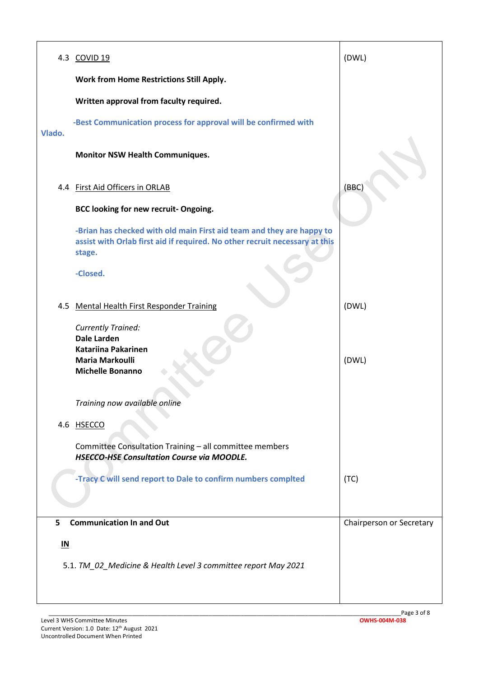|                           | 4.3 COVID 19                                                                                                                                                   | (DWL)                    |
|---------------------------|----------------------------------------------------------------------------------------------------------------------------------------------------------------|--------------------------|
|                           | <b>Work from Home Restrictions Still Apply.</b>                                                                                                                |                          |
|                           | Written approval from faculty required.                                                                                                                        |                          |
| Vlado.                    | -Best Communication process for approval will be confirmed with                                                                                                |                          |
|                           | <b>Monitor NSW Health Communiques.</b>                                                                                                                         |                          |
|                           | 4.4 First Aid Officers in ORLAB                                                                                                                                | (BBC)                    |
|                           | BCC looking for new recruit- Ongoing.                                                                                                                          |                          |
|                           | -Brian has checked with old main First aid team and they are happy to<br>assist with Orlab first aid if required. No other recruit necessary at this<br>stage. |                          |
|                           | -Closed.                                                                                                                                                       |                          |
|                           | 4.5 Mental Health First Responder Training                                                                                                                     | (DWL)                    |
|                           | <b>Currently Trained:</b><br><b>Dale Larden</b><br><b>Katariina Pakarinen</b><br><b>Maria Markoulli</b><br><b>Michelle Bonanno</b>                             | (DWL)                    |
|                           | Training now available online                                                                                                                                  |                          |
|                           | 4.6 HSECCO                                                                                                                                                     |                          |
|                           | Committee Consultation Training - all committee members<br><b>HSECCO-HSE Consultation Course via MOODLE.</b>                                                   |                          |
|                           | -Tracy C will send report to Dale to confirm numbers complted                                                                                                  | (TC)                     |
| 5                         | <b>Communication In and Out</b>                                                                                                                                | Chairperson or Secretary |
|                           |                                                                                                                                                                |                          |
| $\underline{\mathsf{IN}}$ | 5.1. TM_02_Medicine & Health Level 3 committee report May 2021                                                                                                 |                          |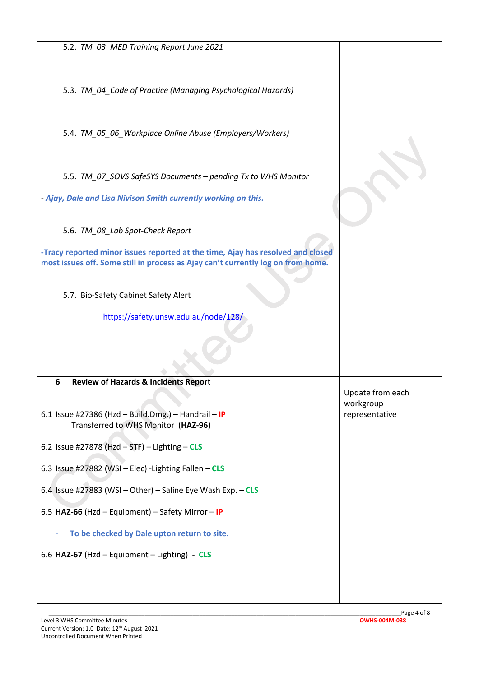5.2. *TM\_03\_MED Training Report June 2021*

5.3. *TM\_04\_Code of Practice (Managing Psychological Hazards)*

5.4. *TM\_05\_06\_Workplace Online Abuse (Employers/Workers)*

5.5. *TM\_07\_SOVS SafeSYS Documents – pending Tx to WHS Monitor*

*- Ajay, Dale and Lisa Nivison Smith currently working on this.*

5.6. *TM\_08\_Lab Spot-Check Report*

**-Tracy reported minor issues reported at the time, Ajay has resolved and closed most issues off. Some still in process as Ajay can't currently log on from home.**

5.7. Bio-Safety Cabinet Safety Alert

<https://safety.unsw.edu.au/node/128/>

## **6 Review of Hazards & Incidents Report**

6.1 Issue #27386 (Hzd – Build.Dmg.) – Handrail – **IP** Transferred to WHS Monitor (**HAZ-96)**

6.2 Issue #27878 (Hzd – STF) – Lighting – **CLS**

6.3 Issue #27882 (WSI – Elec) -Lighting Fallen – **CLS**

6.4 Issue #27883 (WSI – Other) – Saline Eye Wash Exp. – **CLS**

6.5 **HAZ-66** (Hzd – Equipment) – Safety Mirror – **IP**

- **To be checked by Dale upton return to site.**

6.6 **HAZ-67** (Hzd – Equipment – Lighting) - **CLS**

Update from each workgroup representative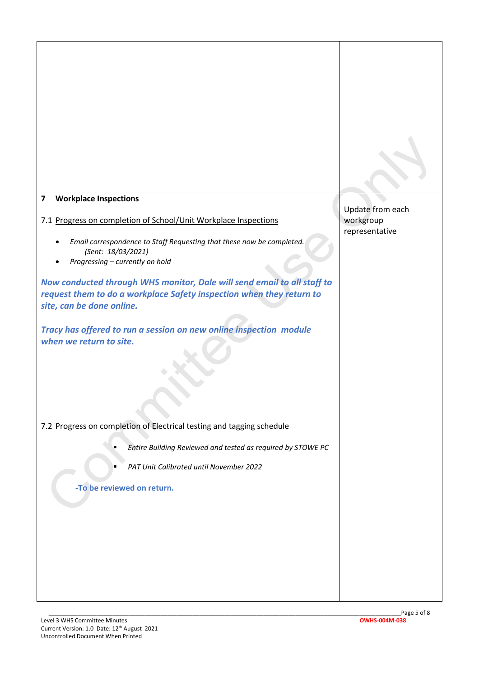| <b>Workplace Inspections</b><br>$\overline{\mathbf{z}}$                                       | Update from each |
|-----------------------------------------------------------------------------------------------|------------------|
| 7.1 Progress on completion of School/Unit Workplace Inspections                               | workgroup        |
| Email correspondence to Staff Requesting that these now be completed.                         | representative   |
| (Sent: 18/03/2021)                                                                            |                  |
| Progressing - currently on hold                                                               |                  |
| Now conducted through WHS monitor, Dale will send email to all staff to                       |                  |
| request them to do a workplace Safety inspection when they return to                          |                  |
| site, can be done online.                                                                     |                  |
| Tracy has offered to run a session on new online inspection module<br>when we return to site. |                  |
|                                                                                               |                  |
|                                                                                               |                  |
|                                                                                               |                  |
| 7.2 Progress on completion of Electrical testing and tagging schedule                         |                  |
| Entire Building Reviewed and tested as required by STOWE PC                                   |                  |
| PAT Unit Calibrated until November 2022                                                       |                  |
| -To be reviewed on return.                                                                    |                  |
|                                                                                               |                  |
|                                                                                               |                  |
|                                                                                               |                  |
|                                                                                               |                  |
|                                                                                               |                  |
|                                                                                               |                  |
|                                                                                               |                  |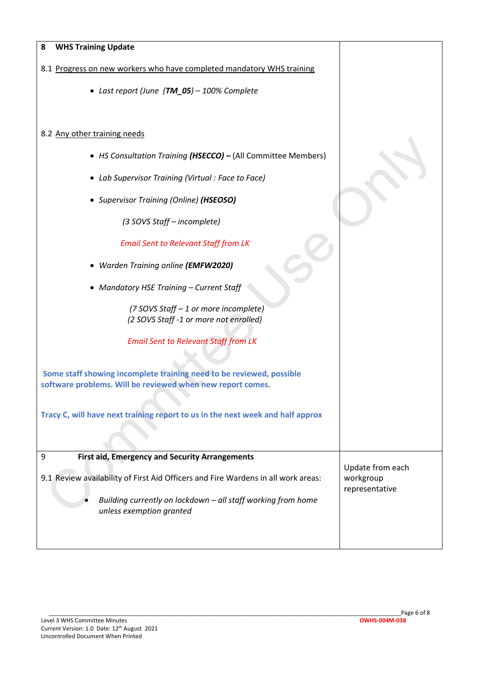| <b>WHS Training Update</b><br>8                                                                                                    |                             |
|------------------------------------------------------------------------------------------------------------------------------------|-----------------------------|
| 8.1 Progress on new workers who have completed mandatory WHS training                                                              |                             |
| • Last report (June (TM_05) - 100% Complete                                                                                        |                             |
|                                                                                                                                    |                             |
| 8.2 Any other training needs                                                                                                       |                             |
| • HS Consultation Training (HSECCO) - (All Committee Members)                                                                      |                             |
| • Lab Supervisor Training (Virtual: Face to Face)                                                                                  |                             |
| • Supervisor Training (Online) (HSEOSO)                                                                                            |                             |
| (3 SOVS Staff - incomplete)                                                                                                        |                             |
| <b>Email Sent to Relevant Staff from LK</b>                                                                                        |                             |
| • Warden Training online (EMFW2020)                                                                                                |                             |
| • Mandatory HSE Training - Current Staff                                                                                           |                             |
| (7 SOVS Staff - 1 or more incomplete)                                                                                              |                             |
| (2 SOVS Staff -1 or more not enrolled)                                                                                             |                             |
| <b>Email Sent to Relevant Staff from LK</b>                                                                                        |                             |
|                                                                                                                                    |                             |
| Some staff showing incomplete training need to be reviewed, possible<br>software problems. Will be reviewed when new report comes. |                             |
|                                                                                                                                    |                             |
| Tracy C, will have next training report to us in the next week and half approx                                                     |                             |
|                                                                                                                                    |                             |
| <b>First aid, Emergency and Security Arrangements</b><br>9                                                                         |                             |
|                                                                                                                                    | Update from each            |
| 9.1 Review availability of First Aid Officers and Fire Wardens in all work areas:                                                  | workgroup<br>representative |
| Building currently on lockdown - all staff working from home<br>unless exemption granted                                           |                             |
|                                                                                                                                    |                             |
|                                                                                                                                    |                             |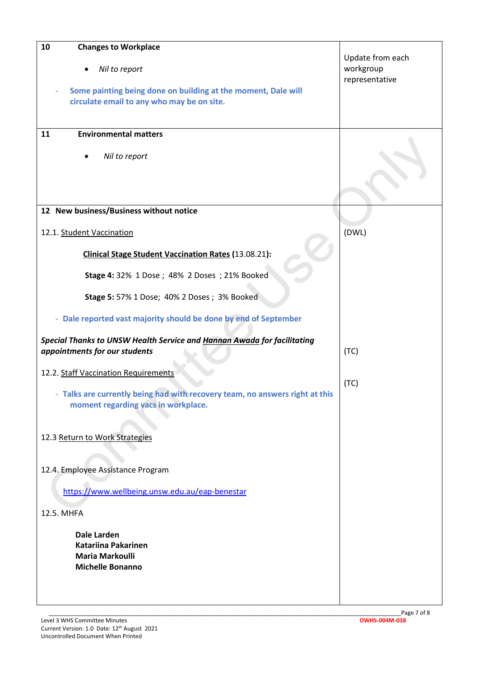| 10<br><b>Changes to Workplace</b><br>Nil to report<br>Some painting being done on building at the moment, Dale will | Update from each<br>workgroup<br>representative |
|---------------------------------------------------------------------------------------------------------------------|-------------------------------------------------|
| circulate email to any who may be on site.                                                                          |                                                 |
| <b>Environmental matters</b><br>11                                                                                  |                                                 |
| Nil to report                                                                                                       |                                                 |
| 12 New business/Business without notice                                                                             |                                                 |
| 12.1. Student Vaccination                                                                                           | (DWL)                                           |
| <b>Clinical Stage Student Vaccination Rates (13.08.21):</b>                                                         |                                                 |
| Stage 4: 32% 1 Dose ; 48% 2 Doses ; 21% Booked                                                                      |                                                 |
| <b>Stage 5: 57% 1 Dose; 40% 2 Doses; 3% Booked</b>                                                                  |                                                 |
| - Dale reported vast majority should be done by end of September                                                    |                                                 |
| Special Thanks to UNSW Health Service and Hannan Awada for facilitating<br>appointments for our students            | (TC)                                            |
| 12.2. Staff Vaccination Requirements                                                                                |                                                 |
| - Talks are currently being had with recovery team, no answers right at this<br>moment regarding vacs in workplace. | (TC)                                            |
|                                                                                                                     |                                                 |
| 12.3 Return to Work Strategies                                                                                      |                                                 |
| 12.4. Employee Assistance Program                                                                                   |                                                 |
| https://www.wellbeing.unsw.edu.au/eap-benestar                                                                      |                                                 |
| 12.5. MHFA                                                                                                          |                                                 |
| <b>Dale Larden</b><br><b>Katariina Pakarinen</b><br><b>Maria Markoulli</b>                                          |                                                 |
| <b>Michelle Bonanno</b>                                                                                             |                                                 |
|                                                                                                                     |                                                 |